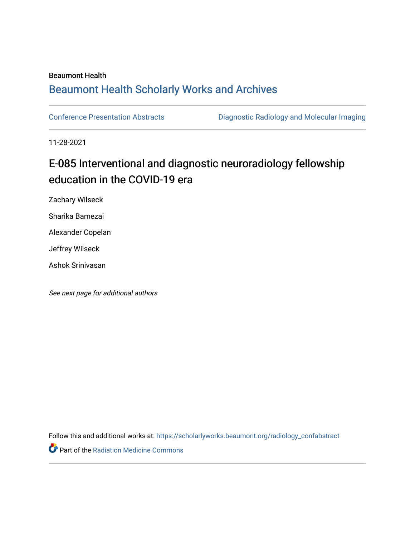### Beaumont Health

## [Beaumont Health Scholarly Works and Archives](https://scholarlyworks.beaumont.org/)

[Conference Presentation Abstracts](https://scholarlyworks.beaumont.org/radiology_confabstract) [Diagnostic Radiology and Molecular Imaging](https://scholarlyworks.beaumont.org/radiology) 

11-28-2021

# E-085 Interventional and diagnostic neuroradiology fellowship education in the COVID-19 era

Zachary Wilseck

Sharika Bamezai

Alexander Copelan

Jeffrey Wilseck

Ashok Srinivasan

See next page for additional authors

Follow this and additional works at: [https://scholarlyworks.beaumont.org/radiology\\_confabstract](https://scholarlyworks.beaumont.org/radiology_confabstract?utm_source=scholarlyworks.beaumont.org%2Fradiology_confabstract%2F52&utm_medium=PDF&utm_campaign=PDFCoverPages)

Part of the [Radiation Medicine Commons](http://network.bepress.com/hgg/discipline/1416?utm_source=scholarlyworks.beaumont.org%2Fradiology_confabstract%2F52&utm_medium=PDF&utm_campaign=PDFCoverPages)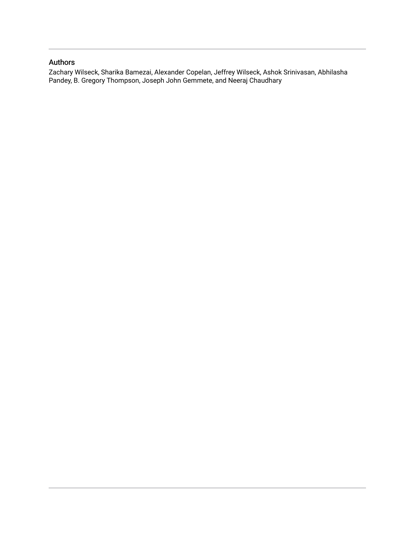## Authors

Zachary Wilseck, Sharika Bamezai, Alexander Copelan, Jeffrey Wilseck, Ashok Srinivasan, Abhilasha Pandey, B. Gregory Thompson, Joseph John Gemmete, and Neeraj Chaudhary